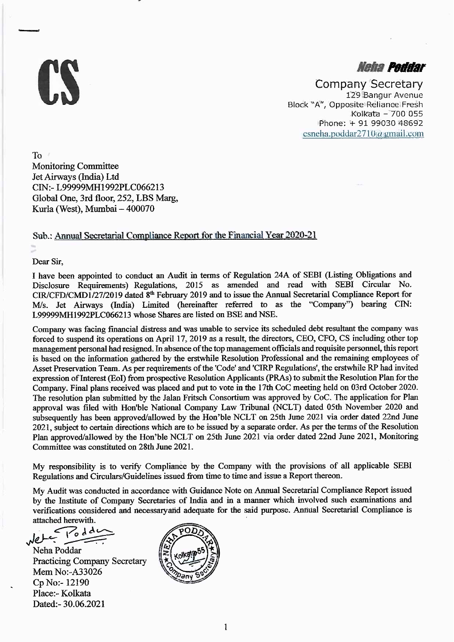# C.S

Neha Poddar

Company Secretary 129 Bangur Avenue Block "A", Opposite Reliance Fresh Kolkata - 700 055 Phone: + 91 99030 48692  $csneha.poddar2710$ (*a*)gmail.com

To Monitoring Committee Jet Airways (India) Ltd CIN:- L99999MH1992PLC066213 Global One, 3rd floor, 252, LBS Marg, Kuria (West), Mumbai — 400070

## Sub.: Annual Secretarial Compliance Report for the Financial Year 2020-21

Dear Sir,

I have been appointed to conduct an Audit in terms of Regulation 24A of SEBI (Listing Obligations and Disclosure Requirements) Regulations, 2015 as amended and read with SEBI Circular No. CIR/CFD/CMD1/27/2019 dated 8th February 2019 and to issue the Annual Secretarial Compliance Report for M/s. Jet Airways (India) Limited (hereinafter referred to as the "Company") bearing CIN: L99999M111992PLC066213 whose Shares are listed on BSE and NSE.

Company was facing financial distress and was unable to service its scheduled debt resultant the company was forced to suspend its operations on April 17, 2019 as a result, the directors, CEO, CFO, CS including other top management personal had resigned. In absence of the top management officials and requisite personnel, this report is based on the information gathered by the erstwhile Resolution Professional and the remaining employees of Asset Preservation Team. As per requirements of the 'Code' and 'CIRP Regulations', the erstwhile RP had invited expression of Interest (EoI) from prospective Resolution Applicants (PRAs) to submit the Resolution Plan for the Company. Final plans received was placed and put to vote in the 17th CoC meeting held on 03rd October 2020. The resolution plan submitted by the Jalan Fritsch Consortium was approved by CoC. The application for Plan approval was filed with Hon'ble National Company Law Tribunal (NCLT) dated 05th November 2020 and subsequently has been approved/allowed by the Hon'ble NCLT on 25th June 2021 via order dated 22nd June 2021, subject to certain directions which are to be issued by a separate order. As per the terms of the Resolution Plan approved/allowed by the Hon'ble NCLT on 25th June 2021 via order dated 22nd June 2021, Monitoring Committee was constituted on 28th June 2021.

My responsibility is to verify Compliance by the Company with the provisions of all applicable SEBI Regulations and Circulars/Guidelines issued from time to time and issue a Report thereon.

My Audit was conducted in accordance with Guidance Note on Annual Secretarial Compliance Report issued by the Institute of Company Secretaries of India and in a manner which involved such examinations and verifications considered and neeessaryatid adequate for the said purpose. Annnal Secretarial Compliance is attached herewith.

Nete Podde

Neha Poddar Practicing Company Secretary Mem No:-A33026 Cp No:- 12190 Place:- Kolkata Dated:- 30.06.2021

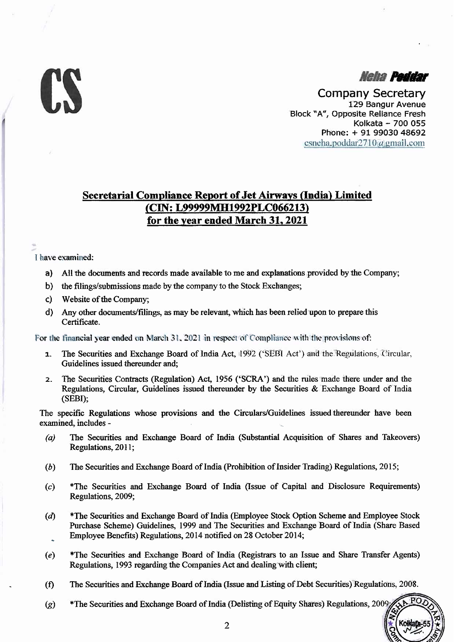

**Metha Poddar**<br>Company Secretary<br>129 Bangur Avenue<br>Block "A", Opposite Reliance Fresh Company Secretary 129 Bangur Avenue Block "A", Opposite Reliance Fresh Kolkata — 700 055 Phone: + 91 99030 48692 csneha.poddar2710@gmail.com

# Secretarial Compliance Report of Jet Airways (India) Limited (CIN: L99999MH1992PLC066213) for the year ended March 31, 2021

### I have examined:

- a) All the documents and records made available to me and explanations provided by the Company;
- b) the filings/submissions made by the company to the Stock Exchanges;
- c) Website of the Company;
- d) Any other documents/filings, as may be relevant, which has been relied upon to prepare this Certificate.

For the financial year ended on March 31, 2021 in respect of Compliance with the provisions of:

- 1. The Securities and Exchange Board of India Act, 1992 (`SEBI Act') and the Regulations, Circular, Guidelines issued thereunder and;
- 2. The Securities Contracts (Regulation) Act, 1956 (`SCRA') and the rules made there under and the Regulations, Circular, Guidelines issued thereunder by the Securities & Exchange Board of India (SEBI);

The specific Regulations whose provisions and the Circulars/Guidelines issued thereunder have been examined, includes -

- (a) The Securities and Exchange Board of India (Substantial Acquisition of Shares and Takeovers) Regulations, 2011;
- (b) The Securities and Exchange Board of India (Prohibition of Insider Trading) Regulations, 2015;
- (c) \*The Securities and Exchange Board of India (Issue of Capital and Disclosure Requirements) Regulations, 2009;
- (d) \*The Securities and Exchange Board of India (Employee Stock Option Scheme and Employee Stock Purchase Scheme) Guidelines, 1999 and The Securities and Exchange Board of India (Share Based Employee Benefits) Regulations, 2014 notified on 28 October 2014;
- (e) \*The Securities and Exchange Board of India (Registrars to an Issue and Share Transfer Agents) Regulations, 1993 regarding the Companies Act and dealing with client;
- (f) The Securities and Exchange Board of India (Issue and Listing of Debt Securities) Regulations, 2008.
- (g) \*The Securities and Exchange Board of India (Delisting of Equity Shares) Regulations, 2009-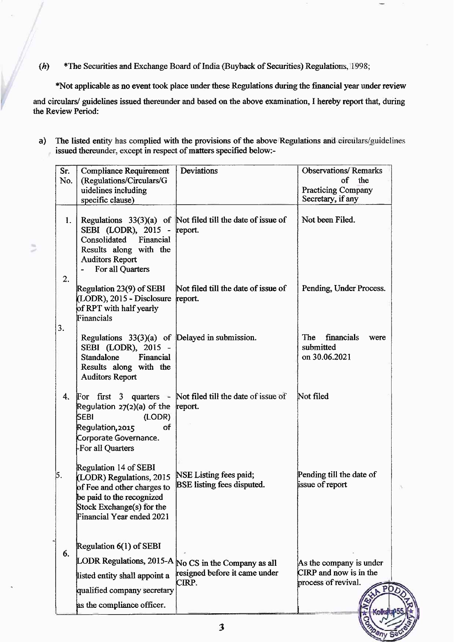(h) \*The Securities and Exchange Board of India (Buyback of Securities) Regulations, 1998;

\*Not applicable as no event took place under these Regulations during the financial year under review

and circulars/ guidelines issued thereunder and based on the above examination, I hereby report that, during the Review Period:

a) The listed entity has complied with the provisions of the above Regulations and circulars/guidelines issued thereunder, except in respect of matters specified below:-

Þ

| Sr. | Compliance Requirement                                                                                                                                                  | Deviations                                                              | <b>Observations/Remarks</b>                                              |
|-----|-------------------------------------------------------------------------------------------------------------------------------------------------------------------------|-------------------------------------------------------------------------|--------------------------------------------------------------------------|
| No. | (Regulations/Circulars/G                                                                                                                                                |                                                                         | of<br>the                                                                |
|     | uidelines including                                                                                                                                                     |                                                                         | <b>Practicing Company</b>                                                |
|     | specific clause)                                                                                                                                                        |                                                                         | Secretary, if any                                                        |
| 1.  | SEBI (LODR), 2015 - report.<br>Consolidated<br>Financial<br>Results along with the<br><b>Auditors Report</b><br>For all Quarters                                        | Regulations $33(3)(a)$ of Not filed till the date of issue of           | Not been Filed.                                                          |
| 2.  |                                                                                                                                                                         |                                                                         |                                                                          |
|     | Regulation 23(9) of SEBI<br>(LODR), 2015 - Disclosure<br>of RPT with half yearly<br>Financials                                                                          | Not filed till the date of issue of<br>report.                          | Pending, Under Process.                                                  |
| 3.  | Regulations $33(3)(a)$ of Delayed in submission.<br>SEBI (LODR), 2015 -<br>Financial<br>Standalone<br>Results along with the<br><b>Auditors Report</b>                  |                                                                         | financials<br>The<br>were<br>submitted<br>on 30.06.2021                  |
| 4.  | Regulation $27(2)(a)$ of the report.<br><b>SEBI</b><br>(LODR)<br>Regulation, 2015<br>of<br>Corporate Governance.<br>For all Quarters                                    | For first $\overline{3}$ quarters - Not filed till the date of issue of | Not filed                                                                |
| 5.  | Regulation 14 of SEBI<br>(LODR) Regulations, 2015<br>of Fee and other charges to<br>be paid to the recognized<br>Stock Exchange(s) for the<br>Financial Year ended 2021 | NSE Listing fees paid;<br>BSE listing fees disputed.                    | Pending till the date of<br>issue of report                              |
| 6.  | Regulation 6(1) of SEBI<br><b>LODR Regulations, 2015-A</b><br>listed entity shall appoint a                                                                             | No CS in the Company as all<br>resigned before it came under<br>CIRP.   | As the company is under<br>CIRP and now is in the<br>process of revival. |
|     | qualified company secretary                                                                                                                                             |                                                                         | PO.                                                                      |
|     | as the compliance officer.                                                                                                                                              |                                                                         |                                                                          |
|     |                                                                                                                                                                         |                                                                         |                                                                          |